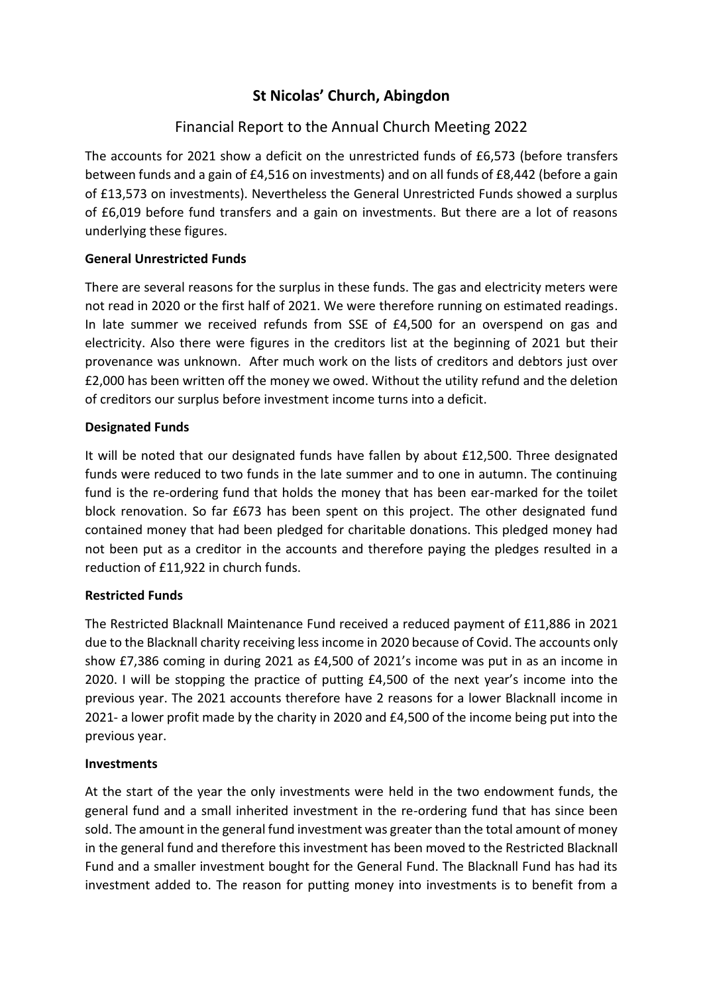# **St Nicolas' Church, Abingdon**

# Financial Report to the Annual Church Meeting 2022

The accounts for 2021 show a deficit on the unrestricted funds of £6,573 (before transfers between funds and a gain of £4,516 on investments) and on all funds of £8,442 (before a gain of £13,573 on investments). Nevertheless the General Unrestricted Funds showed a surplus of £6,019 before fund transfers and a gain on investments. But there are a lot of reasons underlying these figures.

# **General Unrestricted Funds**

There are several reasons for the surplus in these funds. The gas and electricity meters were not read in 2020 or the first half of 2021. We were therefore running on estimated readings. In late summer we received refunds from SSE of £4,500 for an overspend on gas and electricity. Also there were figures in the creditors list at the beginning of 2021 but their provenance was unknown. After much work on the lists of creditors and debtors just over £2,000 has been written off the money we owed. Without the utility refund and the deletion of creditors our surplus before investment income turns into a deficit.

# **Designated Funds**

It will be noted that our designated funds have fallen by about £12,500. Three designated funds were reduced to two funds in the late summer and to one in autumn. The continuing fund is the re-ordering fund that holds the money that has been ear-marked for the toilet block renovation. So far £673 has been spent on this project. The other designated fund contained money that had been pledged for charitable donations. This pledged money had not been put as a creditor in the accounts and therefore paying the pledges resulted in a reduction of £11,922 in church funds.

# **Restricted Funds**

The Restricted Blacknall Maintenance Fund received a reduced payment of £11,886 in 2021 due to the Blacknall charity receiving less income in 2020 because of Covid. The accounts only show £7,386 coming in during 2021 as £4,500 of 2021's income was put in as an income in 2020. I will be stopping the practice of putting £4,500 of the next year's income into the previous year. The 2021 accounts therefore have 2 reasons for a lower Blacknall income in 2021- a lower profit made by the charity in 2020 and £4,500 of the income being put into the previous year.

### **Investments**

At the start of the year the only investments were held in the two endowment funds, the general fund and a small inherited investment in the re-ordering fund that has since been sold. The amount in the general fund investment was greater than the total amount of money in the general fund and therefore this investment has been moved to the Restricted Blacknall Fund and a smaller investment bought for the General Fund. The Blacknall Fund has had its investment added to. The reason for putting money into investments is to benefit from a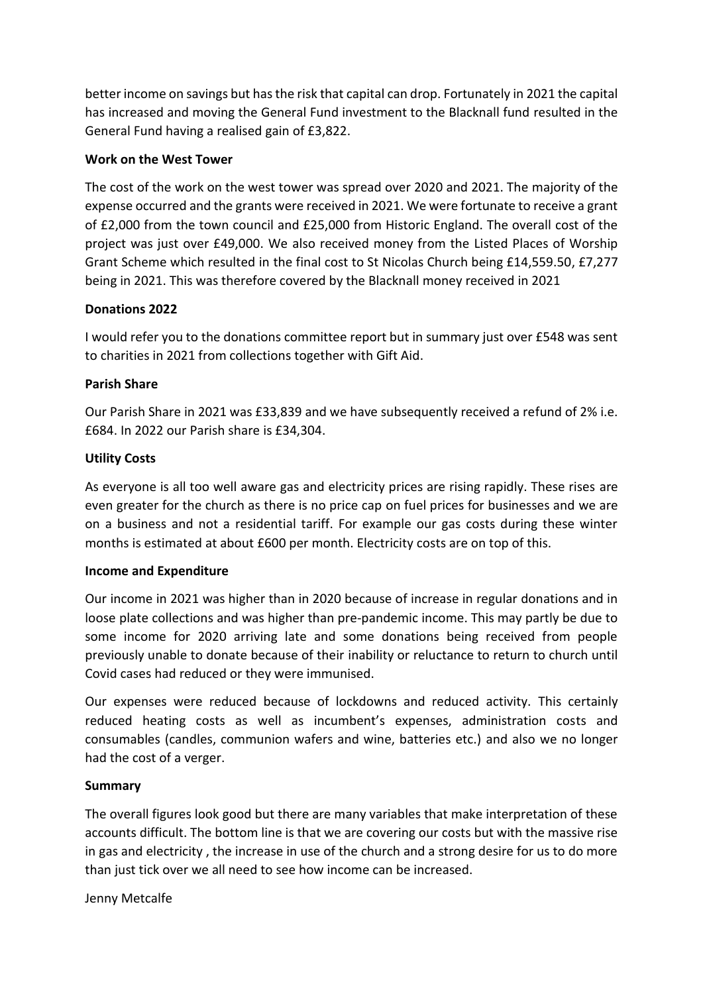better income on savings but has the risk that capital can drop. Fortunately in 2021 the capital has increased and moving the General Fund investment to the Blacknall fund resulted in the General Fund having a realised gain of £3,822.

#### **Work on the West Tower**

The cost of the work on the west tower was spread over 2020 and 2021. The majority of the expense occurred and the grants were received in 2021. We were fortunate to receive a grant of £2,000 from the town council and £25,000 from Historic England. The overall cost of the project was just over £49,000. We also received money from the Listed Places of Worship Grant Scheme which resulted in the final cost to St Nicolas Church being £14,559.50, £7,277 being in 2021. This was therefore covered by the Blacknall money received in 2021

### **Donations 2022**

I would refer you to the donations committee report but in summary just over £548 was sent to charities in 2021 from collections together with Gift Aid.

#### **Parish Share**

Our Parish Share in 2021 was £33,839 and we have subsequently received a refund of 2% i.e. £684. In 2022 our Parish share is £34,304.

#### **Utility Costs**

As everyone is all too well aware gas and electricity prices are rising rapidly. These rises are even greater for the church as there is no price cap on fuel prices for businesses and we are on a business and not a residential tariff. For example our gas costs during these winter months is estimated at about £600 per month. Electricity costs are on top of this.

#### **Income and Expenditure**

Our income in 2021 was higher than in 2020 because of increase in regular donations and in loose plate collections and was higher than pre-pandemic income. This may partly be due to some income for 2020 arriving late and some donations being received from people previously unable to donate because of their inability or reluctance to return to church until Covid cases had reduced or they were immunised.

Our expenses were reduced because of lockdowns and reduced activity. This certainly reduced heating costs as well as incumbent's expenses, administration costs and consumables (candles, communion wafers and wine, batteries etc.) and also we no longer had the cost of a verger.

### **Summary**

The overall figures look good but there are many variables that make interpretation of these accounts difficult. The bottom line is that we are covering our costs but with the massive rise in gas and electricity , the increase in use of the church and a strong desire for us to do more than just tick over we all need to see how income can be increased.

Jenny Metcalfe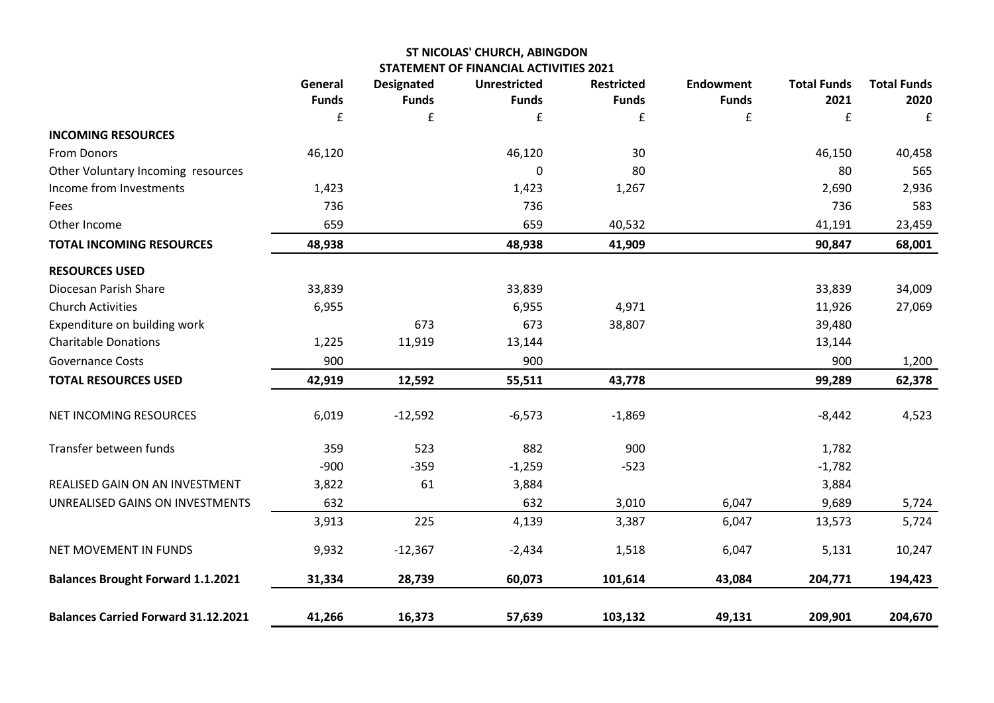### **ST NICOLAS' CHURCH, ABINGDON STATEMENT OF FINANCIAL ACTIVITIES 2021**

|                                            | General           | <b>Designated</b> | <b>Unrestricted</b> | <b>Restricted</b> | <b>Endowment</b>  | <b>Total Funds</b> | <b>Total Funds</b> |
|--------------------------------------------|-------------------|-------------------|---------------------|-------------------|-------------------|--------------------|--------------------|
|                                            | <b>Funds</b><br>£ | <b>Funds</b><br>£ | <b>Funds</b><br>£   | <b>Funds</b><br>£ | <b>Funds</b><br>£ | 2021<br>£          | 2020<br>£          |
| <b>INCOMING RESOURCES</b>                  |                   |                   |                     |                   |                   |                    |                    |
| <b>From Donors</b>                         | 46,120            |                   | 46,120              | 30                |                   | 46,150             | 40,458             |
| Other Voluntary Incoming resources         |                   |                   | $\mathbf 0$         | 80                |                   | 80                 | 565                |
| Income from Investments                    | 1,423             |                   | 1,423               | 1,267             |                   | 2,690              | 2,936              |
| Fees                                       | 736               |                   | 736                 |                   |                   | 736                | 583                |
| Other Income                               | 659               |                   | 659                 | 40,532            |                   | 41,191             | 23,459             |
| <b>TOTAL INCOMING RESOURCES</b>            | 48,938            |                   | 48,938              | 41,909            |                   | 90,847             | 68,001             |
| <b>RESOURCES USED</b>                      |                   |                   |                     |                   |                   |                    |                    |
| Diocesan Parish Share                      | 33,839            |                   | 33,839              |                   |                   | 33,839             | 34,009             |
| <b>Church Activities</b>                   | 6,955             |                   | 6,955               | 4,971             |                   | 11,926             | 27,069             |
| Expenditure on building work               |                   | 673               | 673                 | 38,807            |                   | 39,480             |                    |
| <b>Charitable Donations</b>                | 1,225             | 11,919            | 13,144              |                   |                   | 13,144             |                    |
| <b>Governance Costs</b>                    | 900               |                   | 900                 |                   |                   | 900                | 1,200              |
| <b>TOTAL RESOURCES USED</b>                | 42,919            | 12,592            | 55,511              | 43,778            |                   | 99,289             | 62,378             |
|                                            |                   |                   |                     |                   |                   |                    |                    |
| NET INCOMING RESOURCES                     | 6,019             | $-12,592$         | $-6,573$            | $-1,869$          |                   | $-8,442$           | 4,523              |
| Transfer between funds                     | 359               | 523               | 882                 | 900               |                   | 1,782              |                    |
|                                            | $-900$            | $-359$            | $-1,259$            | $-523$            |                   | $-1,782$           |                    |
| REALISED GAIN ON AN INVESTMENT             | 3,822             | 61                | 3,884               |                   |                   | 3,884              |                    |
| UNREALISED GAINS ON INVESTMENTS            | 632               |                   | 632                 | 3,010             | 6,047             | 9,689              | 5,724              |
|                                            | 3,913             | 225               | 4,139               | 3,387             | 6,047             | 13,573             | 5,724              |
| NET MOVEMENT IN FUNDS                      | 9,932             | $-12,367$         | $-2,434$            | 1,518             | 6,047             | 5,131              | 10,247             |
| <b>Balances Brought Forward 1.1.2021</b>   | 31,334            | 28,739            | 60,073              | 101,614           | 43,084            | 204,771            | 194,423            |
| <b>Balances Carried Forward 31.12.2021</b> | 41,266            | 16,373            | 57,639              | 103,132           | 49,131            | 209,901            | 204,670            |